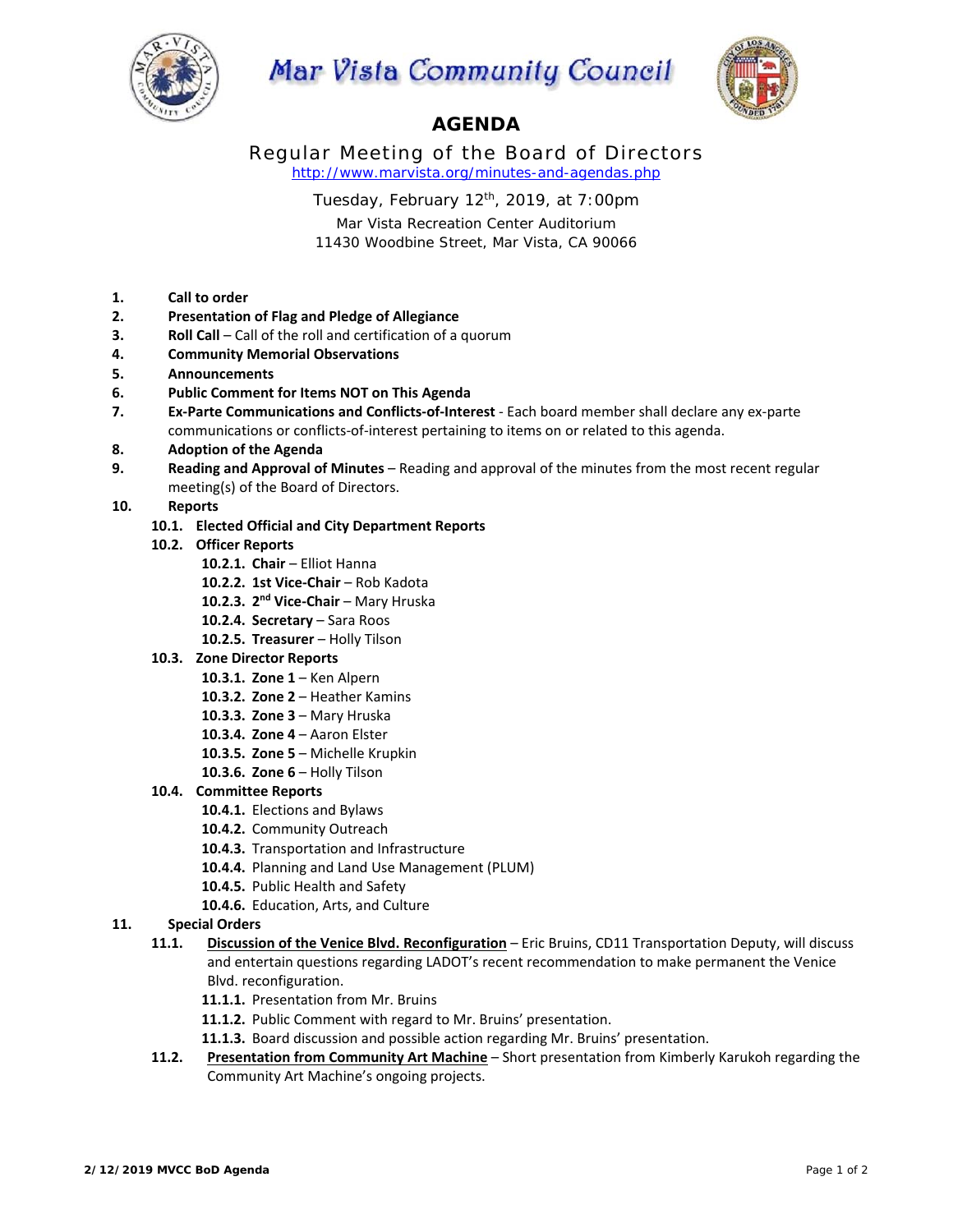

# Mar Vista Community Council



# **AGENDA**

Regular Meeting of the Board of Directors *http://www.marvista.org/minutes-and-agendas.php* 

Tuesday, February 12th, 2019, at 7:00pm

Mar Vista Recreation Center Auditorium 11430 Woodbine Street, Mar Vista, CA 90066

- **1. Call to order**
- **2. Presentation of Flag and Pledge of Allegiance**
- **3. Roll Call** Call of the roll and certification of a quorum
- **4. Community Memorial Observations**
- **5. Announcements**
- **6. Public Comment for Items NOT on This Agenda**
- **7. Ex‐Parte Communications and Conflicts‐of‐Interest** ‐ Each board member shall declare any ex‐parte communications or conflicts‐of‐interest pertaining to items on or related to this agenda.

### **8. Adoption of the Agenda**

**9. Reading and Approval of Minutes** – Reading and approval of the minutes from the most recent regular meeting(s) of the Board of Directors.

## **10. Reports**

- **10.1. Elected Official and City Department Reports**
- **10.2. Officer Reports** 
	- **10.2.1. Chair**  Elliot Hanna
	- 10.2.2. 1st Vice-Chair Rob Kadota
	- 10.2.3. 2<sup>nd</sup> Vice-Chair Mary Hruska
	- 10.2.4. **Secretary** Sara Roos
	- 10.2.5. Treasurer Holly Tilson
- **10.3. Zone Director Reports** 
	- **10.3.1. Zone 1**  Ken Alpern
	- **10.3.2. Zone 2**  Heather Kamins
	- **10.3.3. Zone 3**  Mary Hruska
	- **10.3.4. Zone 4**  Aaron Elster
	- **10.3.5. Zone 5**  Michelle Krupkin
	- **10.3.6. Zone 6**  Holly Tilson

# **10.4. Committee Reports**

- **10.4.1.** Elections and Bylaws
- **10.4.2.** Community Outreach
- **10.4.3.** Transportation and Infrastructure
- **10.4.4.** Planning and Land Use Management (PLUM)
- **10.4.5.** Public Health and Safety
- **10.4.6.** Education, Arts, and Culture

# **11. Special Orders**

- **11.1. Discussion of the Venice Blvd. Reconfiguration**  Eric Bruins, CD11 Transportation Deputy, will discuss and entertain questions regarding LADOT's recent recommendation to make permanent the Venice Blvd. reconfiguration.
	- **11.1.1.** Presentation from Mr. Bruins
	- **11.1.2.** Public Comment with regard to Mr. Bruins' presentation.
	- **11.1.3.** Board discussion and possible action regarding Mr. Bruins' presentation.
- **11.2. Presentation from Community Art Machine** Short presentation from Kimberly Karukoh regarding the Community Art Machine's ongoing projects.